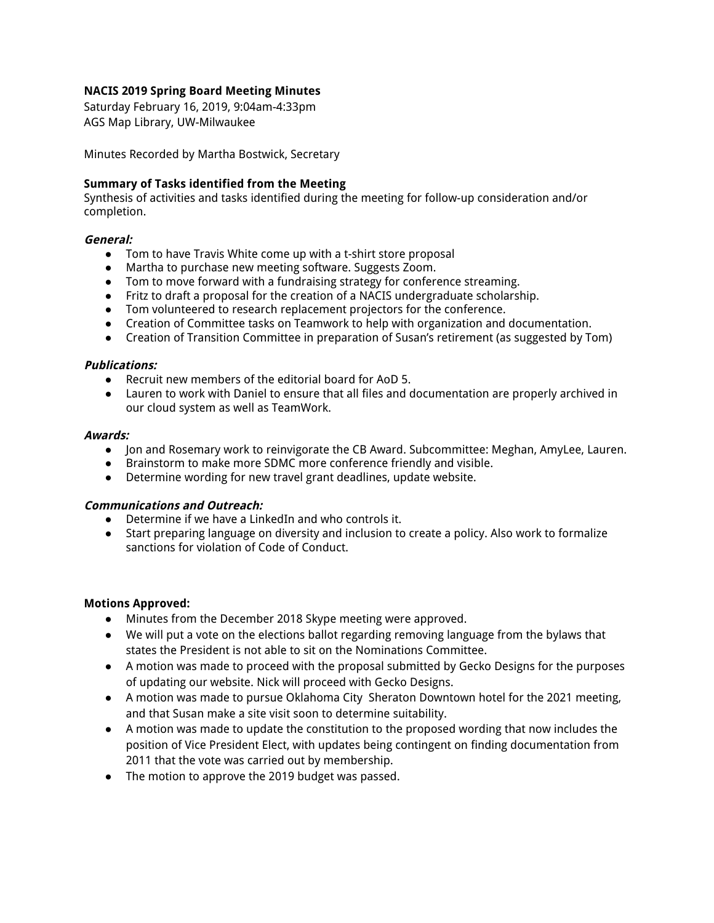### **NACIS 2019 Spring Board Meeting Minutes**

Saturday February 16, 2019, 9:04am-4:33pm AGS Map Library, UW-Milwaukee

Minutes Recorded by Martha Bostwick, Secretary

#### **Summary of Tasks identified from the Meeting**

Synthesis of activities and tasks identified during the meeting for follow-up consideration and/or completion.

#### **General:**

- Tom to have Travis White come up with a t-shirt store proposal
- Martha to purchase new meeting software. Suggests Zoom.
- Tom to move forward with a fundraising strategy for conference streaming.
- Fritz to draft a proposal for the creation of a NACIS undergraduate scholarship.
- Tom volunteered to research replacement projectors for the conference.
- Creation of Committee tasks on Teamwork to help with organization and documentation.
- Creation of Transition Committee in preparation of Susan's retirement (as suggested by Tom)

#### **Publications:**

- Recruit new members of the editorial board for AoD 5.
- Lauren to work with Daniel to ensure that all files and documentation are properly archived in our cloud system as well as TeamWork.

#### **Awards:**

- Jon and Rosemary work to reinvigorate the CB Award. Subcommittee: Meghan, AmyLee, Lauren.
- Brainstorm to make more SDMC more conference friendly and visible.
- Determine wording for new travel grant deadlines, update website.

#### **Communications and Outreach:**

- Determine if we have a LinkedIn and who controls it.
- Start preparing language on diversity and inclusion to create a policy. Also work to formalize sanctions for violation of Code of Conduct.

#### **Motions Approved:**

- Minutes from the December 2018 Skype meeting were approved.
- We will put a vote on the elections ballot regarding removing language from the bylaws that states the President is not able to sit on the Nominations Committee.
- A motion was made to proceed with the proposal submitted by Gecko Designs for the purposes of updating our website. Nick will proceed with Gecko Designs.
- A motion was made to pursue Oklahoma City Sheraton Downtown hotel for the 2021 meeting, and that Susan make a site visit soon to determine suitability.
- A motion was made to update the constitution to the proposed wording that now includes the position of Vice President Elect, with updates being contingent on finding documentation from 2011 that the vote was carried out by membership.
- The motion to approve the 2019 budget was passed.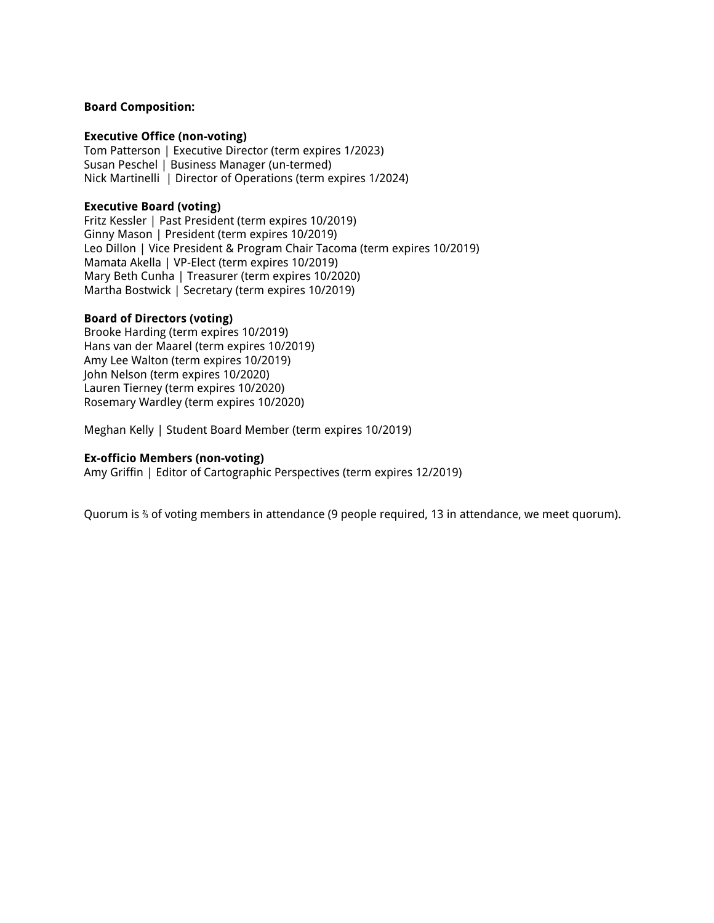#### **Board Composition:**

#### **Executive Office (non-voting)**

Tom Patterson | Executive Director (term expires 1/2023) Susan Peschel | Business Manager (un-termed) Nick Martinelli | Director of Operations (term expires 1/2024)

#### **Executive Board (voting)**

Fritz Kessler | Past President (term expires 10/2019) Ginny Mason | President (term expires 10/2019) Leo Dillon | Vice President & Program Chair Tacoma (term expires 10/2019) Mamata Akella | VP-Elect (term expires 10/2019) Mary Beth Cunha | Treasurer (term expires 10/2020) Martha Bostwick | Secretary (term expires 10/2019)

#### **Board of Directors (voting)**

Brooke Harding (term expires 10/2019) Hans van der Maarel (term expires 10/2019) Amy Lee Walton (term expires 10/2019) John Nelson (term expires 10/2020) Lauren Tierney (term expires 10/2020) Rosemary Wardley (term expires 10/2020)

Meghan Kelly | Student Board Member (term expires 10/2019)

#### **Ex-officio Members (non-voting)**

Amy Griffin | Editor of Cartographic Perspectives (term expires 12/2019)

Quorum is ⅔ of voting members in attendance (9 people required, 13 in attendance, we meet quorum).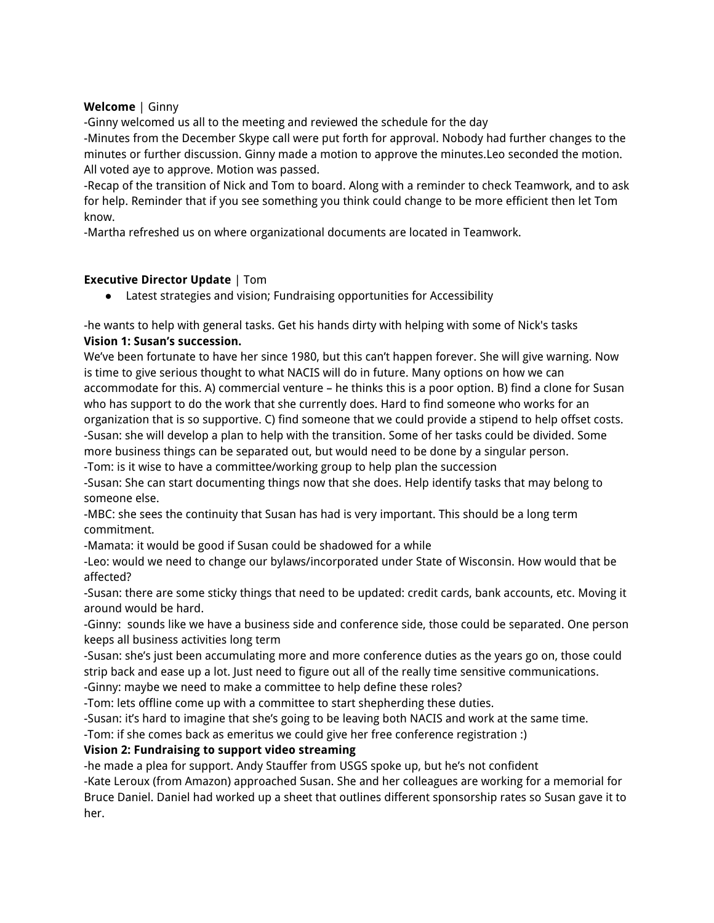## **Welcome** | Ginny

-Ginny welcomed us all to the meeting and reviewed the schedule for the day

-Minutes from the December Skype call were put forth for approval. Nobody had further changes to the minutes or further discussion. Ginny made a motion to approve the minutes.Leo seconded the motion. All voted aye to approve. Motion was passed.

-Recap of the transition of Nick and Tom to board. Along with a reminder to check Teamwork, and to ask for help. Reminder that if you see something you think could change to be more efficient then let Tom know.

-Martha refreshed us on where organizational documents are located in Teamwork.

## **Executive Director Update** | Tom

● Latest strategies and vision; Fundraising opportunities for Accessibility

-he wants to help with general tasks. Get his hands dirty with helping with some of Nick's tasks **Vision 1: Susan's succession.**

We've been fortunate to have her since 1980, but this can't happen forever. She will give warning. Now is time to give serious thought to what NACIS will do in future. Many options on how we can accommodate for this. A) commercial venture – he thinks this is a poor option. B) find a clone for Susan who has support to do the work that she currently does. Hard to find someone who works for an organization that is so supportive. C) find someone that we could provide a stipend to help offset costs. -Susan: she will develop a plan to help with the transition. Some of her tasks could be divided. Some more business things can be separated out, but would need to be done by a singular person. -Tom: is it wise to have a committee/working group to help plan the succession

-Susan: She can start documenting things now that she does. Help identify tasks that may belong to someone else.

-MBC: she sees the continuity that Susan has had is very important. This should be a long term commitment.

-Mamata: it would be good if Susan could be shadowed for a while

-Leo: would we need to change our bylaws/incorporated under State of Wisconsin. How would that be affected?

-Susan: there are some sticky things that need to be updated: credit cards, bank accounts, etc. Moving it around would be hard.

-Ginny: sounds like we have a business side and conference side, those could be separated. One person keeps all business activities long term

-Susan: she's just been accumulating more and more conference duties as the years go on, those could strip back and ease up a lot. Just need to figure out all of the really time sensitive communications. -Ginny: maybe we need to make a committee to help define these roles?

-Tom: lets offline come up with a committee to start shepherding these duties.

-Susan: it's hard to imagine that she's going to be leaving both NACIS and work at the same time.

-Tom: if she comes back as emeritus we could give her free conference registration :)

### **Vision 2: Fundraising to support video streaming**

-he made a plea for support. Andy Stauffer from USGS spoke up, but he's not confident

-Kate Leroux (from Amazon) approached Susan. She and her colleagues are working for a memorial for Bruce Daniel. Daniel had worked up a sheet that outlines different sponsorship rates so Susan gave it to her.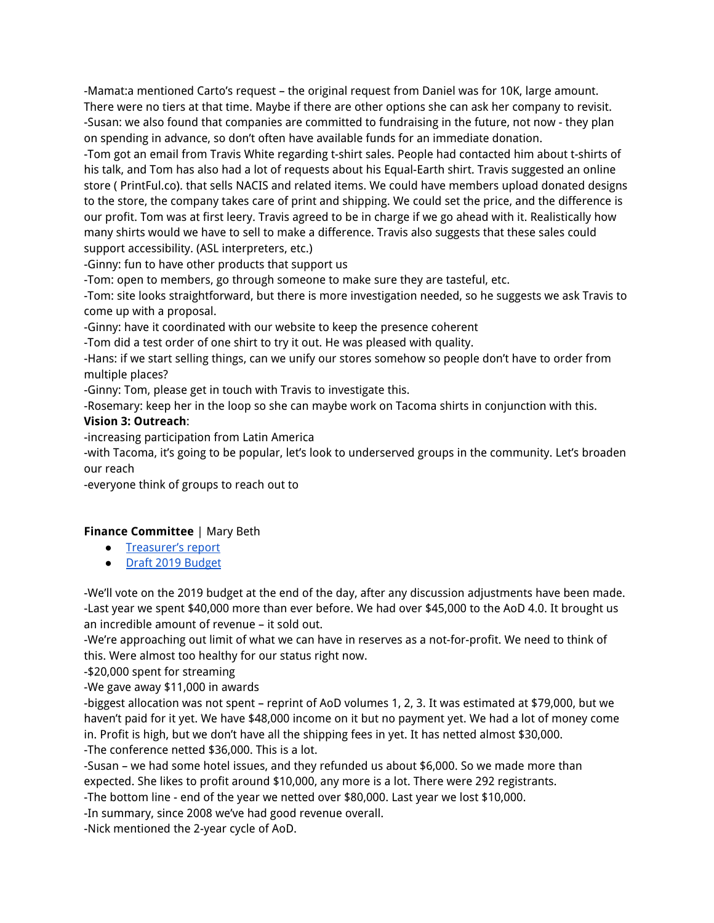-Mamat:a mentioned Carto's request – the original request from Daniel was for 10K, large amount. There were no tiers at that time. Maybe if there are other options she can ask her company to revisit. -Susan: we also found that companies are committed to fundraising in the future, not now - they plan on spending in advance, so don't often have available funds for an immediate donation.

-Tom got an email from Travis White regarding t-shirt sales. People had contacted him about t-shirts of his talk, and Tom has also had a lot of requests about his Equal-Earth shirt. Travis suggested an online store ( PrintFul.co). that sells NACIS and related items. We could have members upload donated designs to the store, the company takes care of print and shipping. We could set the price, and the difference is our profit. Tom was at first leery. Travis agreed to be in charge if we go ahead with it. Realistically how many shirts would we have to sell to make a difference. Travis also suggests that these sales could support accessibility. (ASL interpreters, etc.)

-Ginny: fun to have other products that support us

-Tom: open to members, go through someone to make sure they are tasteful, etc.

-Tom: site looks straightforward, but there is more investigation needed, so he suggests we ask Travis to come up with a proposal.

-Ginny: have it coordinated with our website to keep the presence coherent

-Tom did a test order of one shirt to try it out. He was pleased with quality.

-Hans: if we start selling things, can we unify our stores somehow so people don't have to order from multiple places?

-Ginny: Tom, please get in touch with Travis to investigate this.

-Rosemary: keep her in the loop so she can maybe work on Tacoma shirts in conjunction with this.

## **Vision 3: Outreach**:

-increasing participation from Latin America

-with Tacoma, it's going to be popular, let's look to underserved groups in the community. Let's broaden our reach

-everyone think of groups to reach out to

## **Finance Committee** | Mary Beth

- [Treasurer's](https://drive.google.com/file/d/18VTzvVZkI0ua9PHjbt8QR0ZXPGZoARQa/view?usp=sharing) report
- Draft 2019 [Budget](https://drive.google.com/file/d/1RStHHJ4v4-wS8dLVb63vCf392iAGhlDr/view?usp=sharing)

-We'll vote on the 2019 budget at the end of the day, after any discussion adjustments have been made. -Last year we spent \$40,000 more than ever before. We had over \$45,000 to the AoD 4.0. It brought us an incredible amount of revenue – it sold out.

-We're approaching out limit of what we can have in reserves as a not-for-profit. We need to think of this. Were almost too healthy for our status right now.

-\$20,000 spent for streaming

-We gave away \$11,000 in awards

-biggest allocation was not spent – reprint of AoD volumes 1, 2, 3. It was estimated at \$79,000, but we haven't paid for it yet. We have \$48,000 income on it but no payment yet. We had a lot of money come in. Profit is high, but we don't have all the shipping fees in yet. It has netted almost \$30,000. -The conference netted \$36,000. This is a lot.

-Susan – we had some hotel issues, and they refunded us about \$6,000. So we made more than expected. She likes to profit around \$10,000, any more is a lot. There were 292 registrants.

-The bottom line - end of the year we netted over \$80,000. Last year we lost \$10,000.

-In summary, since 2008 we've had good revenue overall.

-Nick mentioned the 2-year cycle of AoD.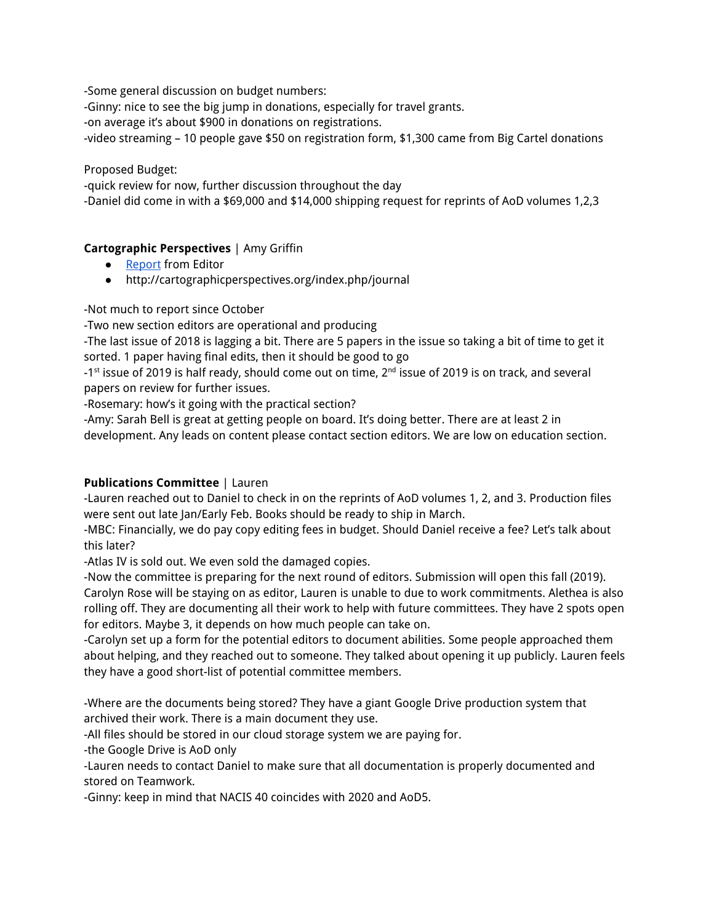-Some general discussion on budget numbers:

-Ginny: nice to see the big jump in donations, especially for travel grants.

-on average it's about \$900 in donations on registrations.

-video streaming – 10 people gave \$50 on registration form, \$1,300 came from Big Cartel donations

## Proposed Budget:

-quick review for now, further discussion throughout the day

-Daniel did come in with a \$69,000 and \$14,000 shipping request for reprints of AoD volumes 1,2,3

## **Cartographic Perspectives** | Amy Griffin

- [Report](https://docs.google.com/document/d/1PG0kKco9LnYY-ja9afDYlg6W5W_s0YJGJ4gs3jhOgA4/edit?usp=sharing) from Editor
- http://cartographicperspectives.org/index.php/journal

-Not much to report since October

-Two new section editors are operational and producing

-The last issue of 2018 is lagging a bit. There are 5 papers in the issue so taking a bit of time to get it sorted. 1 paper having final edits, then it should be good to go

-1 $^{\rm st}$  issue of 2019 is half ready, should come out on time, 2 $^{\rm nd}$  issue of 2019 is on track, and several papers on review for further issues.

-Rosemary: how's it going with the practical section?

-Amy: Sarah Bell is great at getting people on board. It's doing better. There are at least 2 in development. Any leads on content please contact section editors. We are low on education section.

## **Publications Committee** | Lauren

-Lauren reached out to Daniel to check in on the reprints of AoD volumes 1, 2, and 3. Production files were sent out late Jan/Early Feb. Books should be ready to ship in March.

-MBC: Financially, we do pay copy editing fees in budget. Should Daniel receive a fee? Let's talk about this later?

-Atlas IV is sold out. We even sold the damaged copies.

-Now the committee is preparing for the next round of editors. Submission will open this fall (2019). Carolyn Rose will be staying on as editor, Lauren is unable to due to work commitments. Alethea is also rolling off. They are documenting all their work to help with future committees. They have 2 spots open for editors. Maybe 3, it depends on how much people can take on.

-Carolyn set up a form for the potential editors to document abilities. Some people approached them about helping, and they reached out to someone. They talked about opening it up publicly. Lauren feels they have a good short-list of potential committee members.

-Where are the documents being stored? They have a giant Google Drive production system that archived their work. There is a main document they use.

-All files should be stored in our cloud storage system we are paying for.

-the Google Drive is AoD only

-Lauren needs to contact Daniel to make sure that all documentation is properly documented and stored on Teamwork.

-Ginny: keep in mind that NACIS 40 coincides with 2020 and AoD5.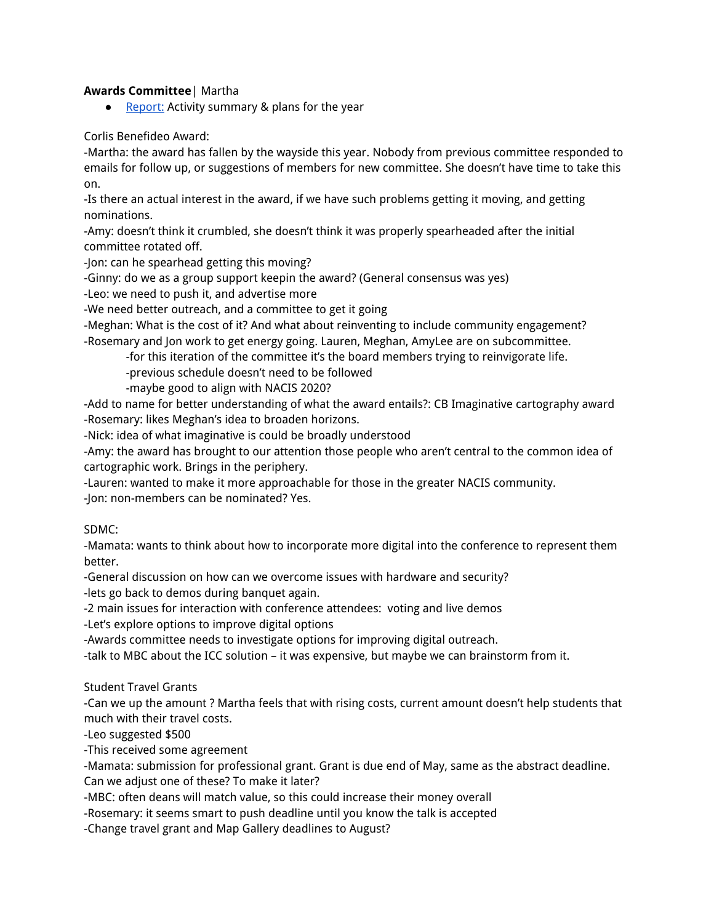### **Awards Committee**| Martha

● [Report:](https://docs.google.com/document/d/1vXGoO_JfKeHdiWQcNeTGf9aKLvcnOOKRgIcP-d0J1yQ/edit?usp=sharing) Activity summary & plans for the year

### Corlis Benefideo Award:

-Martha: the award has fallen by the wayside this year. Nobody from previous committee responded to emails for follow up, or suggestions of members for new committee. She doesn't have time to take this on.

-Is there an actual interest in the award, if we have such problems getting it moving, and getting nominations.

-Amy: doesn't think it crumbled, she doesn't think it was properly spearheaded after the initial committee rotated off.

-Jon: can he spearhead getting this moving?

-Ginny: do we as a group support keepin the award? (General consensus was yes)

-Leo: we need to push it, and advertise more

-We need better outreach, and a committee to get it going

-Meghan: What is the cost of it? And what about reinventing to include community engagement? -Rosemary and Jon work to get energy going. Lauren, Meghan, AmyLee are on subcommittee.

-for this iteration of the committee it's the board members trying to reinvigorate life.

-previous schedule doesn't need to be followed

-maybe good to align with NACIS 2020?

-Add to name for better understanding of what the award entails?: CB Imaginative cartography award -Rosemary: likes Meghan's idea to broaden horizons.

-Nick: idea of what imaginative is could be broadly understood

-Amy: the award has brought to our attention those people who aren't central to the common idea of cartographic work. Brings in the periphery.

-Lauren: wanted to make it more approachable for those in the greater NACIS community.

-Jon: non-members can be nominated? Yes.

### SDMC:

-Mamata: wants to think about how to incorporate more digital into the conference to represent them better.

-General discussion on how can we overcome issues with hardware and security? -lets go back to demos during banquet again.

-2 main issues for interaction with conference attendees: voting and live demos

-Let's explore options to improve digital options

-Awards committee needs to investigate options for improving digital outreach.

-talk to MBC about the ICC solution – it was expensive, but maybe we can brainstorm from it.

### Student Travel Grants

-Can we up the amount ? Martha feels that with rising costs, current amount doesn't help students that much with their travel costs.

-Leo suggested \$500

-This received some agreement

-Mamata: submission for professional grant. Grant is due end of May, same as the abstract deadline. Can we adjust one of these? To make it later?

-MBC: often deans will match value, so this could increase their money overall

-Rosemary: it seems smart to push deadline until you know the talk is accepted

-Change travel grant and Map Gallery deadlines to August?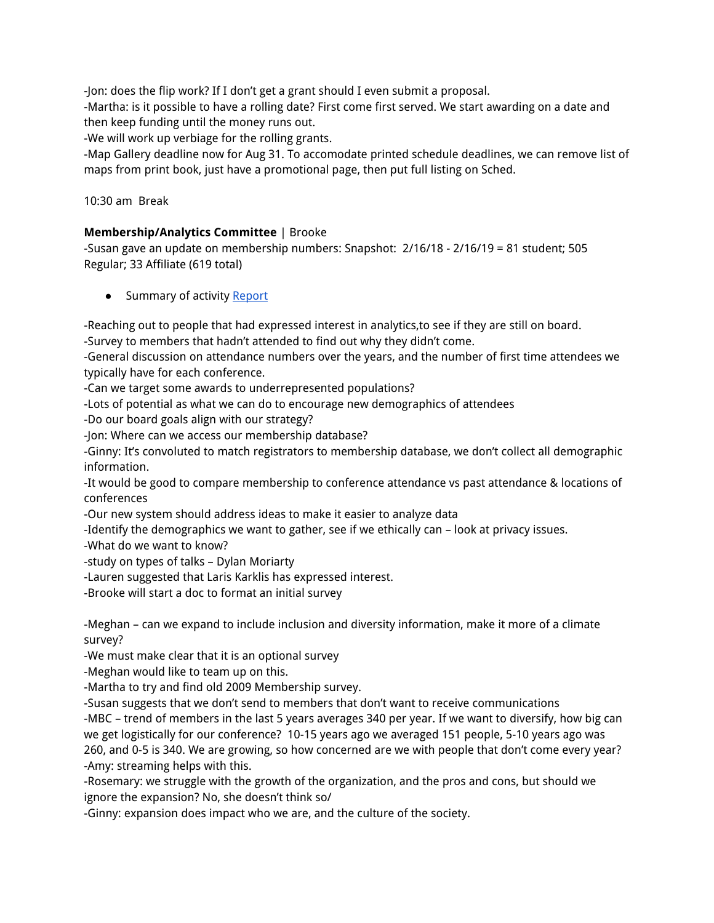-Jon: does the flip work? If I don't get a grant should I even submit a proposal.

-Martha: is it possible to have a rolling date? First come first served. We start awarding on a date and then keep funding until the money runs out.

-We will work up verbiage for the rolling grants.

-Map Gallery deadline now for Aug 31. To accomodate printed schedule deadlines, we can remove list of maps from print book, just have a promotional page, then put full listing on Sched.

10:30 am Break

## **Membership/Analytics Committee** | Brooke

-Susan gave an update on membership numbers: Snapshot: 2/16/18 - 2/16/19 = 81 student; 505 Regular; 33 Affiliate (619 total)

• Summary of activity [Report](https://docs.google.com/document/d/1jvTUUzeBOJ9wKYqgtSnmLEPJipC890gtk5cxx6pi2s0/edit?usp=sharing)

-Reaching out to people that had expressed interest in analytics,to see if they are still on board.

-Survey to members that hadn't attended to find out why they didn't come.

-General discussion on attendance numbers over the years, and the number of first time attendees we typically have for each conference.

-Can we target some awards to underrepresented populations?

-Lots of potential as what we can do to encourage new demographics of attendees

-Do our board goals align with our strategy?

-Jon: Where can we access our membership database?

-Ginny: It's convoluted to match registrators to membership database, we don't collect all demographic information.

-It would be good to compare membership to conference attendance vs past attendance & locations of conferences

-Our new system should address ideas to make it easier to analyze data

-Identify the demographics we want to gather, see if we ethically can – look at privacy issues.

-What do we want to know?

-study on types of talks – Dylan Moriarty

-Lauren suggested that Laris Karklis has expressed interest.

-Brooke will start a doc to format an initial survey

-Meghan – can we expand to include inclusion and diversity information, make it more of a climate survey?

-We must make clear that it is an optional survey

-Meghan would like to team up on this.

-Martha to try and find old 2009 Membership survey.

-Susan suggests that we don't send to members that don't want to receive communications

-MBC – trend of members in the last 5 years averages 340 per year. If we want to diversify, how big can we get logistically for our conference? 10-15 years ago we averaged 151 people, 5-10 years ago was 260, and 0-5 is 340. We are growing, so how concerned are we with people that don't come every year? -Amy: streaming helps with this.

-Rosemary: we struggle with the growth of the organization, and the pros and cons, but should we ignore the expansion? No, she doesn't think so/

-Ginny: expansion does impact who we are, and the culture of the society.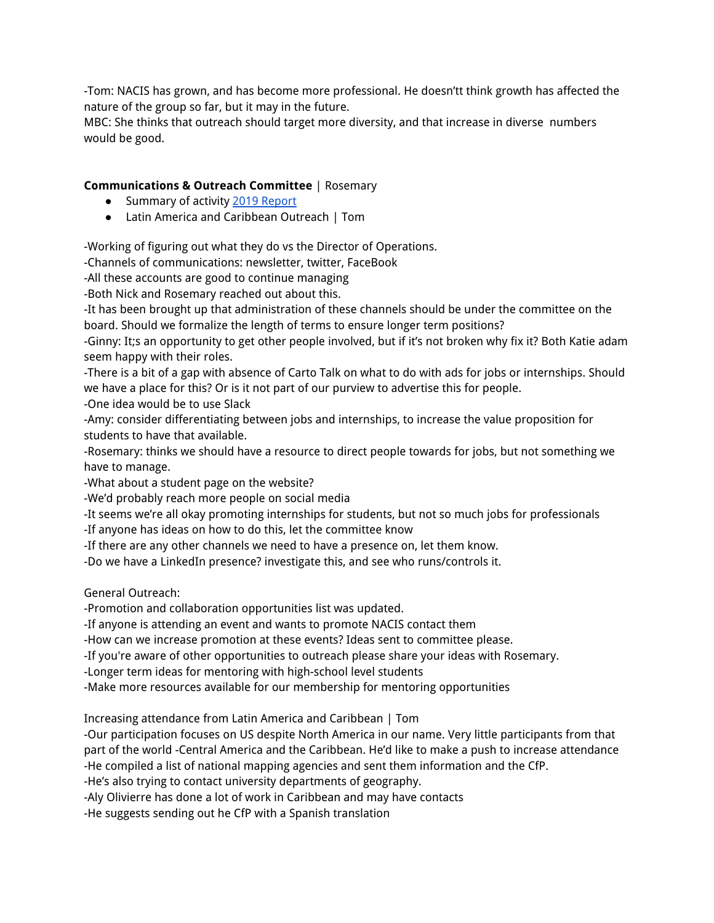-Tom: NACIS has grown, and has become more professional. He doesn'tt think growth has affected the nature of the group so far, but it may in the future.

MBC: She thinks that outreach should target more diversity, and that increase in diverse numbers would be good.

# **Communications & Outreach Committee** | Rosemary

- Summary of activity [2](https://docs.google.com/document/d/1caqKG_9R0ysYAnHPSKNKE-L35QOZkmcAypUKt2Vb3O0/edit?usp=sharing)019 [Report](https://docs.google.com/document/d/1caqKG_9R0ysYAnHPSKNKE-L35QOZkmcAypUKt2Vb3O0/edit?usp=sharing)
- Latin America and Caribbean Outreach | Tom

-Working of figuring out what they do vs the Director of Operations.

-Channels of communications: newsletter, twitter, FaceBook

-All these accounts are good to continue managing

-Both Nick and Rosemary reached out about this.

-It has been brought up that administration of these channels should be under the committee on the board. Should we formalize the length of terms to ensure longer term positions?

-Ginny: It;s an opportunity to get other people involved, but if it's not broken why fix it? Both Katie adam seem happy with their roles.

-There is a bit of a gap with absence of Carto Talk on what to do with ads for jobs or internships. Should we have a place for this? Or is it not part of our purview to advertise this for people. -One idea would be to use Slack

-Amy: consider differentiating between jobs and internships, to increase the value proposition for students to have that available.

-Rosemary: thinks we should have a resource to direct people towards for jobs, but not something we have to manage.

-What about a student page on the website?

-We'd probably reach more people on social media

-It seems we're all okay promoting internships for students, but not so much jobs for professionals

-If anyone has ideas on how to do this, let the committee know

-If there are any other channels we need to have a presence on, let them know.

-Do we have a LinkedIn presence? investigate this, and see who runs/controls it.

General Outreach:

-Promotion and collaboration opportunities list was updated.

-If anyone is attending an event and wants to promote NACIS contact them

-How can we increase promotion at these events? Ideas sent to committee please.

-If you're aware of other opportunities to outreach please share your ideas with Rosemary.

-Longer term ideas for mentoring with high-school level students

-Make more resources available for our membership for mentoring opportunities

Increasing attendance from Latin America and Caribbean | Tom

-Our participation focuses on US despite North America in our name. Very little participants from that part of the world -Central America and the Caribbean. He'd like to make a push to increase attendance -He compiled a list of national mapping agencies and sent them information and the CfP.

-He's also trying to contact university departments of geography.

-Aly Olivierre has done a lot of work in Caribbean and may have contacts

-He suggests sending out he CfP with a Spanish translation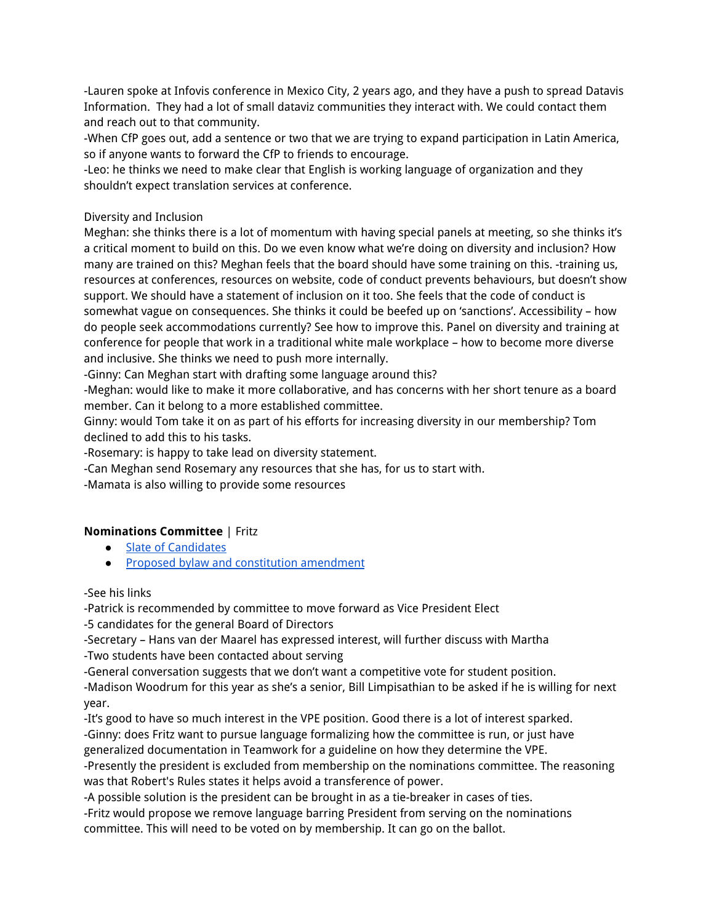-Lauren spoke at Infovis conference in Mexico City, 2 years ago, and they have a push to spread Datavis Information. They had a lot of small dataviz communities they interact with. We could contact them and reach out to that community.

-When CfP goes out, add a sentence or two that we are trying to expand participation in Latin America, so if anyone wants to forward the CfP to friends to encourage.

-Leo: he thinks we need to make clear that English is working language of organization and they shouldn't expect translation services at conference.

## Diversity and Inclusion

Meghan: she thinks there is a lot of momentum with having special panels at meeting, so she thinks it's a critical moment to build on this. Do we even know what we're doing on diversity and inclusion? How many are trained on this? Meghan feels that the board should have some training on this. -training us, resources at conferences, resources on website, code of conduct prevents behaviours, but doesn't show support. We should have a statement of inclusion on it too. She feels that the code of conduct is somewhat vague on consequences. She thinks it could be beefed up on 'sanctions'. Accessibility – how do people seek accommodations currently? See how to improve this. Panel on diversity and training at conference for people that work in a traditional white male workplace – how to become more diverse and inclusive. She thinks we need to push more internally.

-Ginny: Can Meghan start with drafting some language around this?

-Meghan: would like to make it more collaborative, and has concerns with her short tenure as a board member. Can it belong to a more established committee.

Ginny: would Tom take it on as part of his efforts for increasing diversity in our membership? Tom declined to add this to his tasks.

-Rosemary: is happy to take lead on diversity statement.

-Can Meghan send Rosemary any resources that she has, for us to start with.

-Mamata is also willing to provide some resources

## **Nominations Committee** | Fritz

- Slate of [Candidates](https://docs.google.com/document/d/1Gh_7n6U4ZAiY6EflPshC0IFZI412b6U4QattEvtWfC8/edit?usp=sharing)
- Proposed bylaw and constitution [amendment](https://docs.google.com/document/d/1xlL8iaENDiikqSlcfkNjJz-sjh_RdTEIKp01J5D9Y9I/edit?usp=sharing)

### -See his links

-Patrick is recommended by committee to move forward as Vice President Elect

-5 candidates for the general Board of Directors

-Secretary – Hans van der Maarel has expressed interest, will further discuss with Martha

-Two students have been contacted about serving

-General conversation suggests that we don't want a competitive vote for student position.

-Madison Woodrum for this year as she's a senior, Bill Limpisathian to be asked if he is willing for next year.

-It's good to have so much interest in the VPE position. Good there is a lot of interest sparked. -Ginny: does Fritz want to pursue language formalizing how the committee is run, or just have generalized documentation in Teamwork for a guideline on how they determine the VPE.

-Presently the president is excluded from membership on the nominations committee. The reasoning was that Robert's Rules states it helps avoid a transference of power.

-A possible solution is the president can be brought in as a tie-breaker in cases of ties.

-Fritz would propose we remove language barring President from serving on the nominations committee. This will need to be voted on by membership. It can go on the ballot.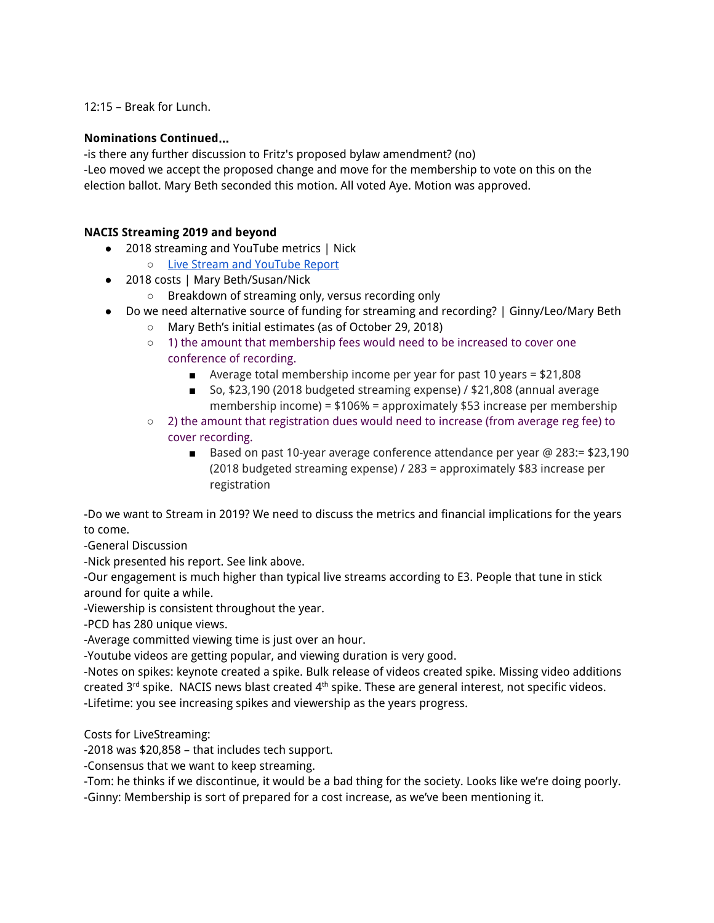12:15 – Break for Lunch.

### **Nominations Continued**…

-is there any further discussion to Fritz's proposed bylaw amendment? (no) -Leo moved we accept the proposed change and move for the membership to vote on this on the election ballot. Mary Beth seconded this motion. All voted Aye. Motion was approved.

## **NACIS Streaming 2019 and beyond**

- 2018 streaming and YouTube metrics | Nick
	- Live Stream and [YouTube](https://docs.google.com/document/d/18rQa9QeWhoYP6S-c8J1vtZXm6mHFIPXSOqJ4QCFf6lg/edit?usp=sharing) Report
- 2018 costs | Mary Beth/Susan/Nick
	- Breakdown of streaming only, versus recording only
- Do we need alternative source of funding for streaming and recording? | Ginny/Leo/Mary Beth
	- Mary Beth's initial estimates (as of October 29, 2018)
	- $\circ$  1) the amount that membership fees would need to be increased to cover one conference of recording.
		- $\blacksquare$  Average total membership income per year for past 10 years = \$21,808
		- So, \$23,190 (2018 budgeted streaming expense) / \$21,808 (annual average membership income) = \$106% = approximately \$53 increase per membership
	- $\circ$  2) the amount that registration dues would need to increase (from average reg fee) to cover recording.
		- Based on past 10-year average conference attendance per year @ 283:= \$23,190 (2018 budgeted streaming expense) / 283 = approximately \$83 increase per registration

-Do we want to Stream in 2019? We need to discuss the metrics and financial implications for the years to come.

-General Discussion

-Nick presented his report. See link above.

-Our engagement is much higher than typical live streams according to E3. People that tune in stick around for quite a while.

-Viewership is consistent throughout the year.

-PCD has 280 unique views.

-Average committed viewing time is just over an hour.

-Youtube videos are getting popular, and viewing duration is very good.

-Notes on spikes: keynote created a spike. Bulk release of videos created spike. Missing video additions created 3<sup>rd</sup> spike. NACIS news blast created 4<sup>th</sup> spike. These are general interest, not specific videos. -Lifetime: you see increasing spikes and viewership as the years progress.

Costs for LiveStreaming:

-2018 was \$20,858 – that includes tech support.

-Consensus that we want to keep streaming.

-Tom: he thinks if we discontinue, it would be a bad thing for the society. Looks like we're doing poorly.

-Ginny: Membership is sort of prepared for a cost increase, as we've been mentioning it.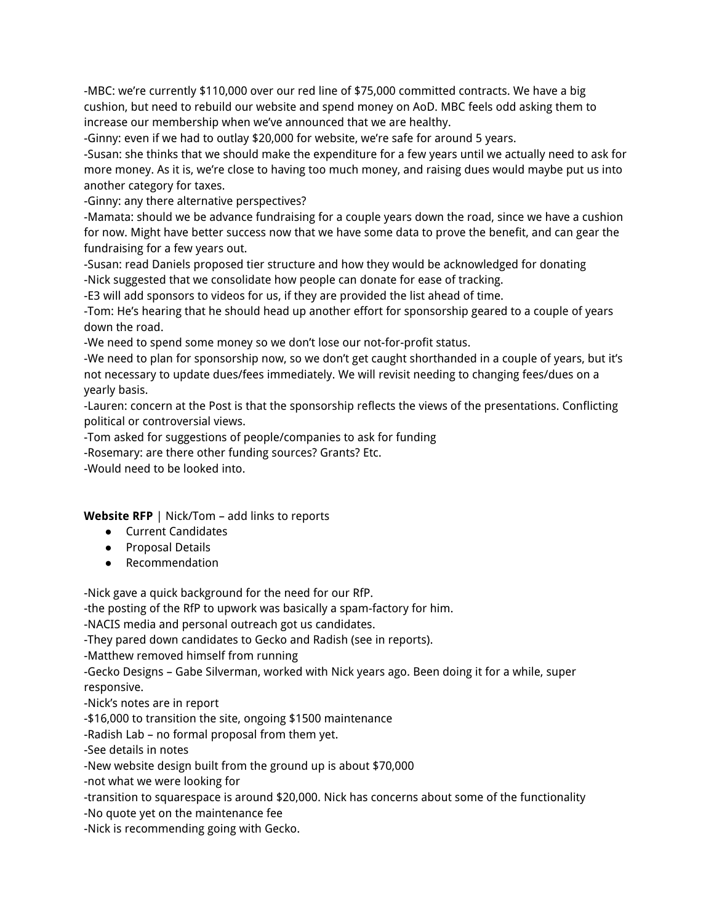-MBC: we're currently \$110,000 over our red line of \$75,000 committed contracts. We have a big cushion, but need to rebuild our website and spend money on AoD. MBC feels odd asking them to increase our membership when we've announced that we are healthy.

-Ginny: even if we had to outlay \$20,000 for website, we're safe for around 5 years.

-Susan: she thinks that we should make the expenditure for a few years until we actually need to ask for more money. As it is, we're close to having too much money, and raising dues would maybe put us into another category for taxes.

-Ginny: any there alternative perspectives?

-Mamata: should we be advance fundraising for a couple years down the road, since we have a cushion for now. Might have better success now that we have some data to prove the benefit, and can gear the fundraising for a few years out.

-Susan: read Daniels proposed tier structure and how they would be acknowledged for donating -Nick suggested that we consolidate how people can donate for ease of tracking.

-E3 will add sponsors to videos for us, if they are provided the list ahead of time.

-Tom: He's hearing that he should head up another effort for sponsorship geared to a couple of years down the road.

-We need to spend some money so we don't lose our not-for-profit status.

-We need to plan for sponsorship now, so we don't get caught shorthanded in a couple of years, but it's not necessary to update dues/fees immediately. We will revisit needing to changing fees/dues on a yearly basis.

-Lauren: concern at the Post is that the sponsorship reflects the views of the presentations. Conflicting political or controversial views.

-Tom asked for suggestions of people/companies to ask for funding

-Rosemary: are there other funding sources? Grants? Etc.

-Would need to be looked into.

**Website RFP** | Nick/Tom – add links to reports

- Current Candidates
- Proposal Details
- Recommendation

-Nick gave a quick background for the need for our RfP.

-the posting of the RfP to upwork was basically a spam-factory for him.

-NACIS media and personal outreach got us candidates.

-They pared down candidates to Gecko and Radish (see in reports).

-Matthew removed himself from running

-Gecko Designs – Gabe Silverman, worked with Nick years ago. Been doing it for a while, super responsive.

-Nick's notes are in report

-\$16,000 to transition the site, ongoing \$1500 maintenance

-Radish Lab – no formal proposal from them yet.

-See details in notes

-New website design built from the ground up is about \$70,000

-not what we were looking for

-transition to squarespace is around \$20,000. Nick has concerns about some of the functionality

-No quote yet on the maintenance fee

-Nick is recommending going with Gecko.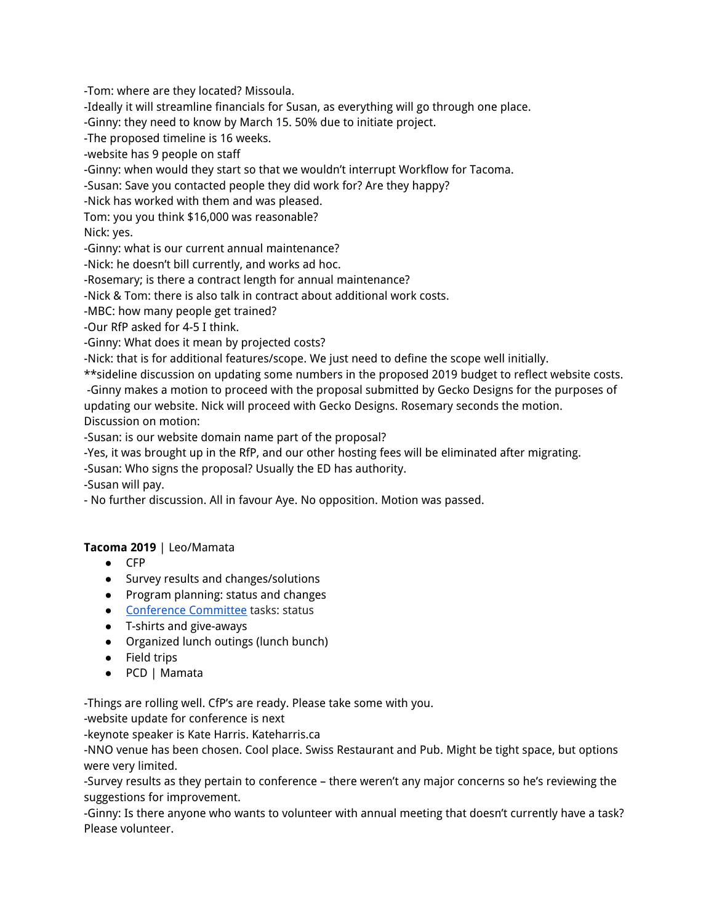-Tom: where are they located? Missoula.

-Ideally it will streamline financials for Susan, as everything will go through one place.

-Ginny: they need to know by March 15. 50% due to initiate project.

-The proposed timeline is 16 weeks.

-website has 9 people on staff

-Ginny: when would they start so that we wouldn't interrupt Workflow for Tacoma.

-Susan: Save you contacted people they did work for? Are they happy?

-Nick has worked with them and was pleased.

Tom: you you think \$16,000 was reasonable?

Nick: yes.

-Ginny: what is our current annual maintenance?

-Nick: he doesn't bill currently, and works ad hoc.

-Rosemary; is there a contract length for annual maintenance?

-Nick & Tom: there is also talk in contract about additional work costs.

-MBC: how many people get trained?

-Our RfP asked for 4-5 I think.

-Ginny: What does it mean by projected costs?

-Nick: that is for additional features/scope. We just need to define the scope well initially.

\*\*sideline discussion on updating some numbers in the proposed 2019 budget to reflect website costs. -Ginny makes a motion to proceed with the proposal submitted by Gecko Designs for the purposes of updating our website. Nick will proceed with Gecko Designs. Rosemary seconds the motion. Discussion on motion:

-Susan: is our website domain name part of the proposal?

-Yes, it was brought up in the RfP, and our other hosting fees will be eliminated after migrating.

-Susan: Who signs the proposal? Usually the ED has authority.

-Susan will pay.

- No further discussion. All in favour Aye. No opposition. Motion was passed.

# **Tacoma 2019** | Leo/Mamata

- CFP
- Survey results and changes/solutions
- Program planning: status and changes
- [Conference](https://docs.google.com/document/d/140DCmhb9bvJUbpDEuYcNvbIR35bl1-l_M8Nd3qVz8XE/edit?usp=sharing) Committee tasks: status
- T-shirts and give-aways
- Organized lunch outings (lunch bunch)
- Field trips
- PCD | Mamata

-Things are rolling well. CfP's are ready. Please take some with you.

-website update for conference is next

-keynote speaker is Kate Harris. Kateharris.ca

-NNO venue has been chosen. Cool place. Swiss Restaurant and Pub. Might be tight space, but options were very limited.

-Survey results as they pertain to conference – there weren't any major concerns so he's reviewing the suggestions for improvement.

-Ginny: Is there anyone who wants to volunteer with annual meeting that doesn't currently have a task? Please volunteer.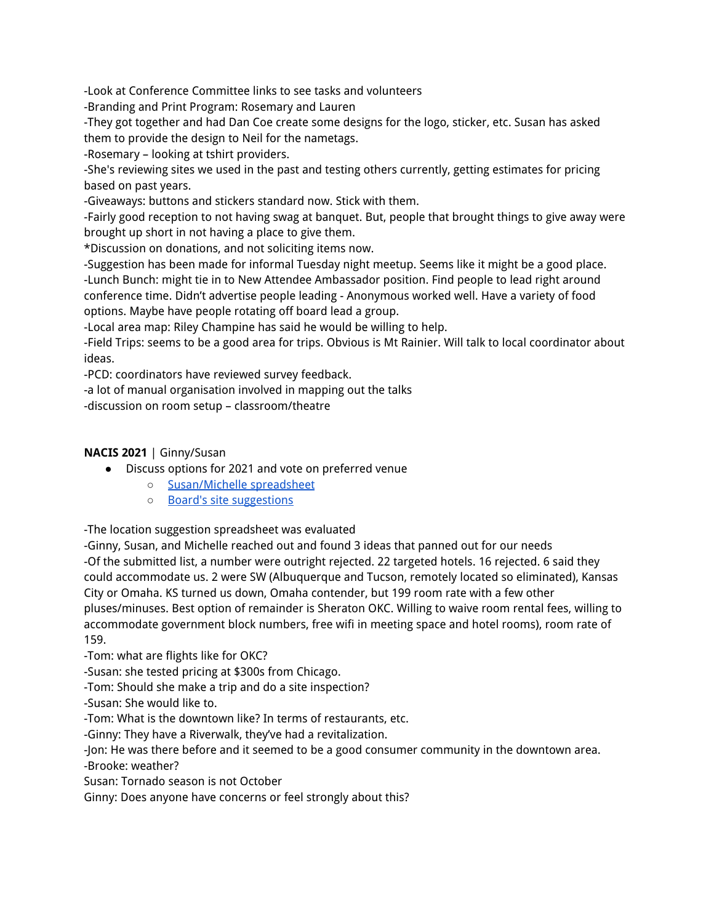-Look at Conference Committee links to see tasks and volunteers

-Branding and Print Program: Rosemary and Lauren

-They got together and had Dan Coe create some designs for the logo, sticker, etc. Susan has asked them to provide the design to Neil for the nametags.

-Rosemary – looking at tshirt providers.

-She's reviewing sites we used in the past and testing others currently, getting estimates for pricing based on past years.

-Giveaways: buttons and stickers standard now. Stick with them.

-Fairly good reception to not having swag at banquet. But, people that brought things to give away were brought up short in not having a place to give them.

\*Discussion on donations, and not soliciting items now.

-Suggestion has been made for informal Tuesday night meetup. Seems like it might be a good place. -Lunch Bunch: might tie in to New Attendee Ambassador position. Find people to lead right around conference time. Didn't advertise people leading - Anonymous worked well. Have a variety of food options. Maybe have people rotating off board lead a group.

-Local area map: Riley Champine has said he would be willing to help.

-Field Trips: seems to be a good area for trips. Obvious is Mt Rainier. Will talk to local coordinator about ideas.

-PCD: coordinators have reviewed survey feedback.

-a lot of manual organisation involved in mapping out the talks

-discussion on room setup – classroom/theatre

## **NACIS 2021** | Ginny/Susan

- Discuss options for 2021 and vote on preferred venue
	- [Susan/Michelle](https://docs.google.com/spreadsheets/d/13qobO0wBjJ7TZJKRLyoMpMf6f9a6039tXKK0Ps4zU5g/edit?usp=sharing) spreadsheet
	- Board's site [suggestions](https://docs.google.com/spreadsheets/d/1s8s5bvMYaKpWoMJpraOd2FiGqTAwZIIN5XL-mk-xvCQ/edit?usp=sharing)

-The location suggestion spreadsheet was evaluated

-Ginny, Susan, and Michelle reached out and found 3 ideas that panned out for our needs -Of the submitted list, a number were outright rejected. 22 targeted hotels. 16 rejected. 6 said they could accommodate us. 2 were SW (Albuquerque and Tucson, remotely located so eliminated), Kansas City or Omaha. KS turned us down, Omaha contender, but 199 room rate with a few other pluses/minuses. Best option of remainder is Sheraton OKC. Willing to waive room rental fees, willing to accommodate government block numbers, free wifi in meeting space and hotel rooms), room rate of 159.

-Tom: what are flights like for OKC?

-Susan: she tested pricing at \$300s from Chicago.

-Tom: Should she make a trip and do a site inspection?

-Susan: She would like to.

-Tom: What is the downtown like? In terms of restaurants, etc.

-Ginny: They have a Riverwalk, they've had a revitalization.

-Jon: He was there before and it seemed to be a good consumer community in the downtown area. -Brooke: weather?

Susan: Tornado season is not October

Ginny: Does anyone have concerns or feel strongly about this?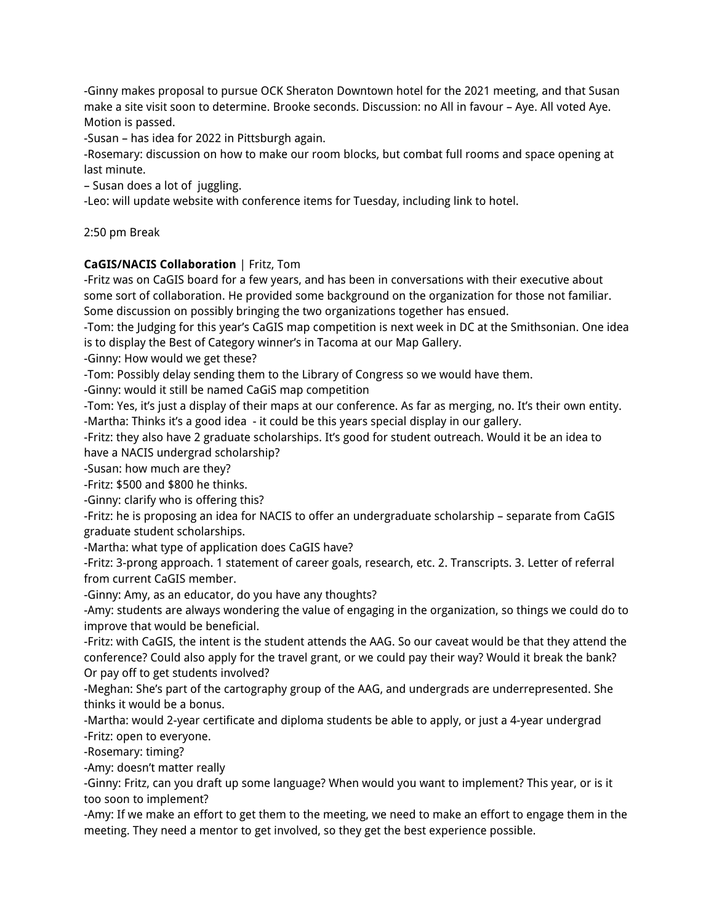-Ginny makes proposal to pursue OCK Sheraton Downtown hotel for the 2021 meeting, and that Susan make a site visit soon to determine. Brooke seconds. Discussion: no All in favour – Aye. All voted Aye. Motion is passed.

-Susan – has idea for 2022 in Pittsburgh again.

-Rosemary: discussion on how to make our room blocks, but combat full rooms and space opening at last minute.

– Susan does a lot of juggling.

-Leo: will update website with conference items for Tuesday, including link to hotel.

2:50 pm Break

## **CaGIS/NACIS Collaboration** | Fritz, Tom

-Fritz was on CaGIS board for a few years, and has been in conversations with their executive about some sort of collaboration. He provided some background on the organization for those not familiar. Some discussion on possibly bringing the two organizations together has ensued.

-Tom: the Judging for this year's CaGIS map competition is next week in DC at the Smithsonian. One idea is to display the Best of Category winner's in Tacoma at our Map Gallery.

-Ginny: How would we get these?

-Tom: Possibly delay sending them to the Library of Congress so we would have them.

-Ginny: would it still be named CaGiS map competition

-Tom: Yes, it's just a display of their maps at our conference. As far as merging, no. It's their own entity. -Martha: Thinks it's a good idea - it could be this years special display in our gallery.

-Fritz: they also have 2 graduate scholarships. It's good for student outreach. Would it be an idea to have a NACIS undergrad scholarship?

-Susan: how much are they?

-Fritz: \$500 and \$800 he thinks.

-Ginny: clarify who is offering this?

-Fritz: he is proposing an idea for NACIS to offer an undergraduate scholarship – separate from CaGIS graduate student scholarships.

-Martha: what type of application does CaGIS have?

-Fritz: 3-prong approach. 1 statement of career goals, research, etc. 2. Transcripts. 3. Letter of referral from current CaGIS member.

-Ginny: Amy, as an educator, do you have any thoughts?

-Amy: students are always wondering the value of engaging in the organization, so things we could do to improve that would be beneficial.

-Fritz: with CaGIS, the intent is the student attends the AAG. So our caveat would be that they attend the conference? Could also apply for the travel grant, or we could pay their way? Would it break the bank? Or pay off to get students involved?

-Meghan: She's part of the cartography group of the AAG, and undergrads are underrepresented. She thinks it would be a bonus.

-Martha: would 2-year certificate and diploma students be able to apply, or just a 4-year undergrad -Fritz: open to everyone.

-Rosemary: timing?

-Amy: doesn't matter really

-Ginny: Fritz, can you draft up some language? When would you want to implement? This year, or is it too soon to implement?

-Amy: If we make an effort to get them to the meeting, we need to make an effort to engage them in the meeting. They need a mentor to get involved, so they get the best experience possible.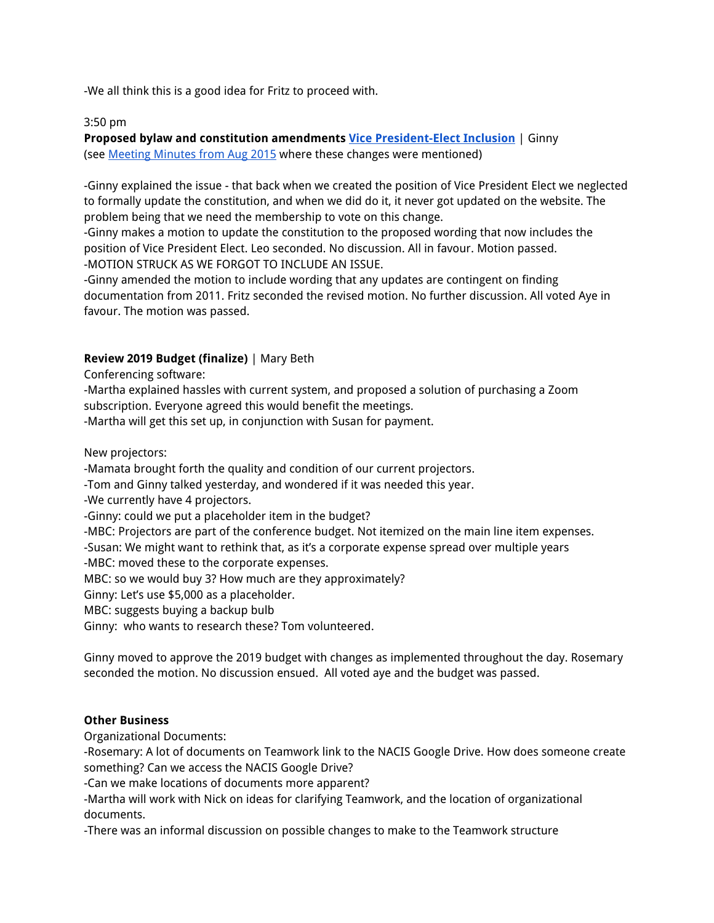-We all think this is a good idea for Fritz to proceed with.

#### 3:50 pm

**Proposed bylaw and constitution amendments Vice [President-Elect](https://docs.google.com/document/d/1fNjifs37gM8RwHKVHLgLnudnYQzr1QyvJU1jjxYZRE0/edit?usp=sharing) Inclusion** | Ginny (se[e](https://docs.google.com/document/d/1qOQPBUi33m6S-ICaPSvwQYZtgib_JkYP516n6EVlewI/edit?usp=sharing) Meeting [Minutes](https://docs.google.com/document/d/1qOQPBUi33m6S-ICaPSvwQYZtgib_JkYP516n6EVlewI/edit?usp=sharing) from Aug 2015 where these changes were mentioned)

-Ginny explained the issue - that back when we created the position of Vice President Elect we neglected to formally update the constitution, and when we did do it, it never got updated on the website. The problem being that we need the membership to vote on this change.

-Ginny makes a motion to update the constitution to the proposed wording that now includes the position of Vice President Elect. Leo seconded. No discussion. All in favour. Motion passed. -MOTION STRUCK AS WE FORGOT TO INCLUDE AN ISSUE.

-Ginny amended the motion to include wording that any updates are contingent on finding documentation from 2011. Fritz seconded the revised motion. No further discussion. All voted Aye in favour. The motion was passed.

## **Review 2019 Budget (finalize)** | Mary Beth

Conferencing software:

-Martha explained hassles with current system, and proposed a solution of purchasing a Zoom subscription. Everyone agreed this would benefit the meetings.

-Martha will get this set up, in conjunction with Susan for payment.

New projectors:

-Mamata brought forth the quality and condition of our current projectors.

-Tom and Ginny talked yesterday, and wondered if it was needed this year.

-We currently have 4 projectors.

-Ginny: could we put a placeholder item in the budget?

-MBC: Projectors are part of the conference budget. Not itemized on the main line item expenses.

-Susan: We might want to rethink that, as it's a corporate expense spread over multiple years

-MBC: moved these to the corporate expenses.

MBC: so we would buy 3? How much are they approximately?

Ginny: Let's use \$5,000 as a placeholder.

MBC: suggests buying a backup bulb

Ginny: who wants to research these? Tom volunteered.

Ginny moved to approve the 2019 budget with changes as implemented throughout the day. Rosemary seconded the motion. No discussion ensued. All voted aye and the budget was passed.

### **Other Business**

Organizational Documents:

-Rosemary: A lot of documents on Teamwork link to the NACIS Google Drive. How does someone create something? Can we access the NACIS Google Drive?

-Can we make locations of documents more apparent?

-Martha will work with Nick on ideas for clarifying Teamwork, and the location of organizational documents.

-There was an informal discussion on possible changes to make to the Teamwork structure